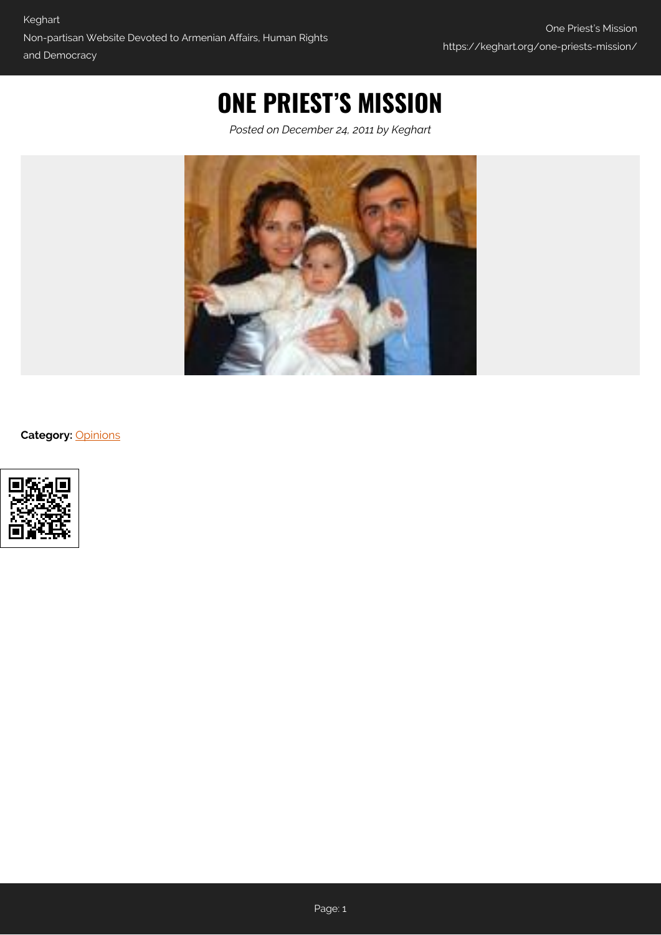## **ONE PRIEST'S MISSION**

*Posted on December 24, 2011 by Keghart*



**Category:** [Opinions](https://keghart.org/category/opinions/)

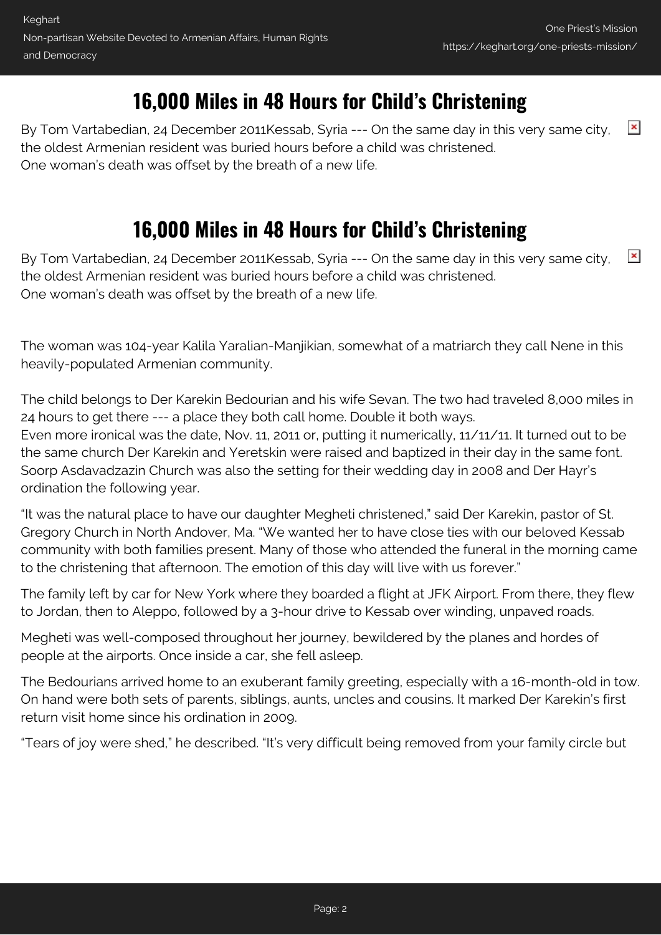## **16,000 Miles in 48 Hours for Child's Christening**

 $\pmb{\times}$ By Tom Vartabedian, 24 December 2011Kessab, Syria --- On the same day in this very same city, the oldest Armenian resident was buried hours before a child was christened. One woman's death was offset by the breath of a new life.

## **16,000 Miles in 48 Hours for Child's Christening**

 $\pmb{\times}$ By Tom Vartabedian, 24 December 2011Kessab, Syria --- On the same day in this very same city, the oldest Armenian resident was buried hours before a child was christened. One woman's death was offset by the breath of a new life.

The woman was 104-year Kalila Yaralian-Manjikian, somewhat of a matriarch they call Nene in this heavily-populated Armenian community.

The child belongs to Der Karekin Bedourian and his wife Sevan. The two had traveled 8,000 miles in 24 hours to get there --- a place they both call home. Double it both ways. Even more ironical was the date, Nov. 11, 2011 or, putting it numerically, 11/11/11. It turned out to be the same church Der Karekin and Yeretskin were raised and baptized in their day in the same font. Soorp Asdavadzazin Church was also the setting for their wedding day in 2008 and Der Hayr's ordination the following year.

"It was the natural place to have our daughter Megheti christened," said Der Karekin, pastor of St. Gregory Church in North Andover, Ma. "We wanted her to have close ties with our beloved Kessab community with both families present. Many of those who attended the funeral in the morning came to the christening that afternoon. The emotion of this day will live with us forever."

The family left by car for New York where they boarded a flight at JFK Airport. From there, they flew to Jordan, then to Aleppo, followed by a 3-hour drive to Kessab over winding, unpaved roads.

Megheti was well-composed throughout her journey, bewildered by the planes and hordes of people at the airports. Once inside a car, she fell asleep.

The Bedourians arrived home to an exuberant family greeting, especially with a 16-month-old in tow. On hand were both sets of parents, siblings, aunts, uncles and cousins. It marked Der Karekin's first return visit home since his ordination in 2009.

"Tears of joy were shed," he described. "It's very difficult being removed from your family circle but